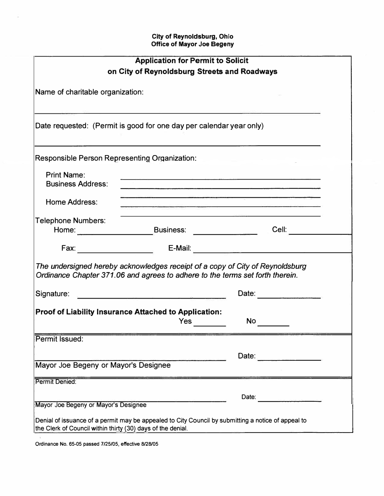| <b>Application for Permit to Solicit</b>                                                                                                                                                                                                                                                       |                                                                                                                 |                                                                                                                                                                                                                                |
|------------------------------------------------------------------------------------------------------------------------------------------------------------------------------------------------------------------------------------------------------------------------------------------------|-----------------------------------------------------------------------------------------------------------------|--------------------------------------------------------------------------------------------------------------------------------------------------------------------------------------------------------------------------------|
| on City of Reynoldsburg Streets and Roadways                                                                                                                                                                                                                                                   |                                                                                                                 |                                                                                                                                                                                                                                |
| Name of charitable organization:                                                                                                                                                                                                                                                               |                                                                                                                 |                                                                                                                                                                                                                                |
| Date requested: (Permit is good for one day per calendar year only)                                                                                                                                                                                                                            | the contract of the contract of the contract of the contract of the contract of the contract of the contract of |                                                                                                                                                                                                                                |
| Responsible Person Representing Organization:                                                                                                                                                                                                                                                  |                                                                                                                 |                                                                                                                                                                                                                                |
| <b>Print Name:</b><br><b>Business Address:</b>                                                                                                                                                                                                                                                 |                                                                                                                 | <u>. 1989 - Jan Barnett, Amerikaansk politiker (* 1988)</u><br>the contract of the contract of the contract of the contract of the contract of the contract of the contract of                                                 |
| Home Address:                                                                                                                                                                                                                                                                                  |                                                                                                                 | the second contract of the second contract of the second contract of the second contract of the second contract of the second contract of the second contract of the second contract of the second contract of the second cont |
| <b>Telephone Numbers:</b>                                                                                                                                                                                                                                                                      |                                                                                                                 | Cell: <b>Cell</b>                                                                                                                                                                                                              |
|                                                                                                                                                                                                                                                                                                |                                                                                                                 |                                                                                                                                                                                                                                |
| The undersigned hereby acknowledges receipt of a copy of City of Reynoldsburg<br>Ordinance Chapter 371.06 and agrees to adhere to the terms set forth therein.                                                                                                                                 |                                                                                                                 |                                                                                                                                                                                                                                |
| Signature: <u>Communications</u> Communications and Communications and Communications and Communications and Communications and Communications and Communications and Communications and Communications and Communications and Comm                                                            |                                                                                                                 | Date:                                                                                                                                                                                                                          |
| Proof of Liability Insurance Attached to Application:<br>Yes<br>No provide a provide a provide a provide a provide a provide a provide a provide a provide a provide a provide a provide a provide a provide a provide a provide a provide a provide a provide a provide a provide a provide a |                                                                                                                 |                                                                                                                                                                                                                                |
| Permit Issued:                                                                                                                                                                                                                                                                                 |                                                                                                                 |                                                                                                                                                                                                                                |
| Mayor Joe Begeny or Mayor's Designee                                                                                                                                                                                                                                                           |                                                                                                                 | Date:                                                                                                                                                                                                                          |
| Permit Denied:                                                                                                                                                                                                                                                                                 |                                                                                                                 |                                                                                                                                                                                                                                |
|                                                                                                                                                                                                                                                                                                |                                                                                                                 | Date:                                                                                                                                                                                                                          |
| Mayor Joe Begeny or Mayor's Designee                                                                                                                                                                                                                                                           |                                                                                                                 |                                                                                                                                                                                                                                |
| Denial of issuance of a permit may be appealed to City Council by submitting a notice of appeal to<br>the Clerk of Council within thirty (30) days of the denial.                                                                                                                              |                                                                                                                 |                                                                                                                                                                                                                                |

**Ordinance No. 65-05 passed 7/25/05, effective 8/28/05** 

 $\mathcal{U}$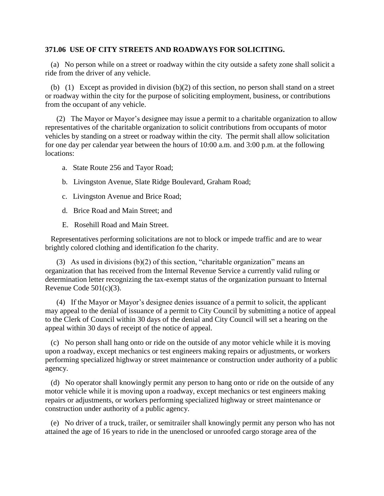## **371.06 USE OF CITY STREETS AND ROADWAYS FOR SOLICITING.**

 (a) No person while on a street or roadway within the city outside a safety zone shall solicit a ride from the driver of any vehicle.

 (b) (1) Except as provided in division (b)(2) of this section, no person shall stand on a street or roadway within the city for the purpose of soliciting employment, business, or contributions from the occupant of any vehicle.

 (2) The Mayor or Mayor's designee may issue a permit to a charitable organization to allow representatives of the charitable organization to solicit contributions from occupants of motor vehicles by standing on a street or roadway within the city. The permit shall allow solicitation for one day per calendar year between the hours of 10:00 a.m. and 3:00 p.m. at the following locations:

- a. State Route 256 and Tayor Road;
- b. Livingston Avenue, Slate Ridge Boulevard, Graham Road;
- c. Livingston Avenue and Brice Road;
- d. Brice Road and Main Street; and
- E. Rosehill Road and Main Street.

 Representatives performing solicitations are not to block or impede traffic and are to wear brightly colored clothing and identification fo the charity.

(3) As used in divisions  $(b)(2)$  of this section, "charitable organization" means an organization that has received from the Internal Revenue Service a currently valid ruling or determination letter recognizing the tax-exempt status of the organization pursuant to Internal Revenue Code 501(c)(3).

 (4) If the Mayor or Mayor's designee denies issuance of a permit to solicit, the applicant may appeal to the denial of issuance of a permit to City Council by submitting a notice of appeal to the Clerk of Council within 30 days of the denial and City Council will set a hearing on the appeal within 30 days of receipt of the notice of appeal.

 (c) No person shall hang onto or ride on the outside of any motor vehicle while it is moving upon a roadway, except mechanics or test engineers making repairs or adjustments, or workers performing specialized highway or street maintenance or construction under authority of a public agency.

 (d) No operator shall knowingly permit any person to hang onto or ride on the outside of any motor vehicle while it is moving upon a roadway, except mechanics or test engineers making repairs or adjustments, or workers performing specialized highway or street maintenance or construction under authority of a public agency.

 (e) No driver of a truck, trailer, or semitrailer shall knowingly permit any person who has not attained the age of 16 years to ride in the unenclosed or unroofed cargo storage area of the